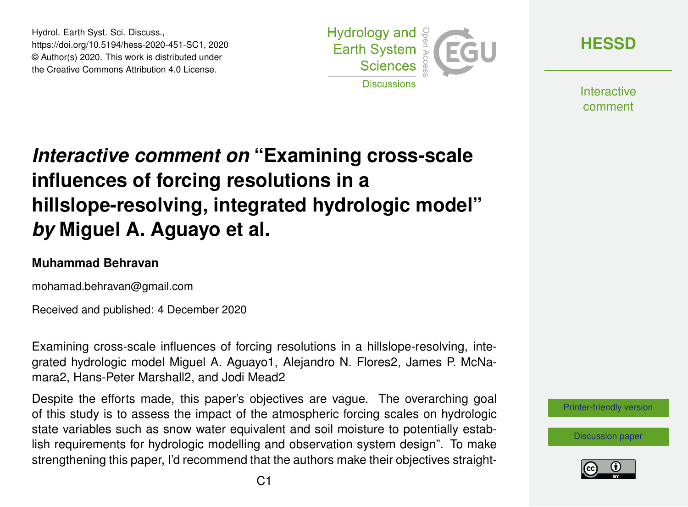Hydrol. Earth Syst. Sci. Discuss., https://doi.org/10.5194/hess-2020-451-SC1, 2020 © Author(s) 2020. This work is distributed under the Creative Commons Attribution 4.0 License.



**[HESSD](https://hess.copernicus.org/preprints/)**

**Interactive** comment

# *Interactive comment on* **"Examining cross-scale influences of forcing resolutions in a hillslope-resolving, integrated hydrologic model"** *by* **Miguel A. Aguayo et al.**

#### **Muhammad Behravan**

mohamad.behravan@gmail.com

Received and published: 4 December 2020

Examining cross-scale influences of forcing resolutions in a hillslope-resolving, integrated hydrologic model Miguel A. Aguayo1, Alejandro N. Flores2, James P. McNamara2, Hans-Peter Marshall2, and Jodi Mead2

Despite the efforts made, this paper's objectives are vague. The overarching goal of this study is to assess the impact of the atmospheric forcing scales on hydrologic state variables such as snow water equivalent and soil moisture to potentially establish requirements for hydrologic modelling and observation system design". To make strengthening this paper, I'd recommend that the authors make their objectives straight-

[Printer-friendly version](https://hess.copernicus.org/preprints/hess-2020-451/hess-2020-451-SC1-print.pdf)

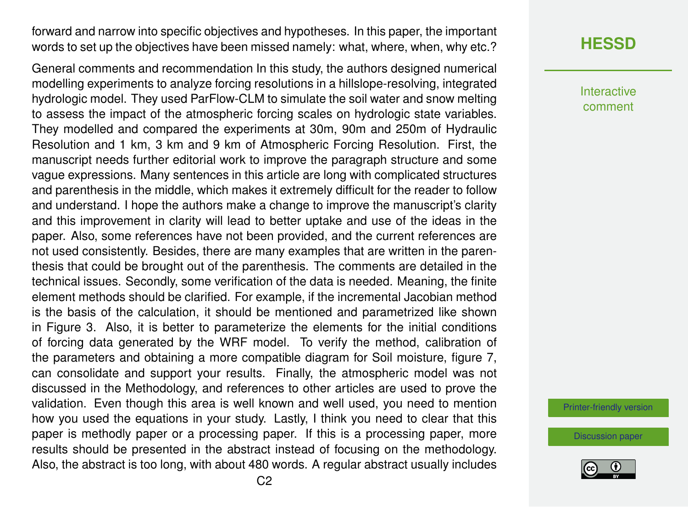forward and narrow into specific objectives and hypotheses. In this paper, the important words to set up the objectives have been missed namely: what, where, when, why etc.?

General comments and recommendation In this study, the authors designed numerical modelling experiments to analyze forcing resolutions in a hillslope-resolving, integrated hydrologic model. They used ParFlow-CLM to simulate the soil water and snow melting to assess the impact of the atmospheric forcing scales on hydrologic state variables. They modelled and compared the experiments at 30m, 90m and 250m of Hydraulic Resolution and 1 km, 3 km and 9 km of Atmospheric Forcing Resolution. First, the manuscript needs further editorial work to improve the paragraph structure and some vague expressions. Many sentences in this article are long with complicated structures and parenthesis in the middle, which makes it extremely difficult for the reader to follow and understand. I hope the authors make a change to improve the manuscript's clarity and this improvement in clarity will lead to better uptake and use of the ideas in the paper. Also, some references have not been provided, and the current references are not used consistently. Besides, there are many examples that are written in the parenthesis that could be brought out of the parenthesis. The comments are detailed in the technical issues. Secondly, some verification of the data is needed. Meaning, the finite element methods should be clarified. For example, if the incremental Jacobian method is the basis of the calculation, it should be mentioned and parametrized like shown in Figure 3. Also, it is better to parameterize the elements for the initial conditions of forcing data generated by the WRF model. To verify the method, calibration of the parameters and obtaining a more compatible diagram for Soil moisture, figure 7, can consolidate and support your results. Finally, the atmospheric model was not discussed in the Methodology, and references to other articles are used to prove the validation. Even though this area is well known and well used, you need to mention how you used the equations in your study. Lastly, I think you need to clear that this paper is methodly paper or a processing paper. If this is a processing paper, more results should be presented in the abstract instead of focusing on the methodology. Also, the abstract is too long, with about 480 words. A regular abstract usually includes

## **[HESSD](https://hess.copernicus.org/preprints/)**

Interactive comment

[Printer-friendly version](https://hess.copernicus.org/preprints/hess-2020-451/hess-2020-451-SC1-print.pdf)

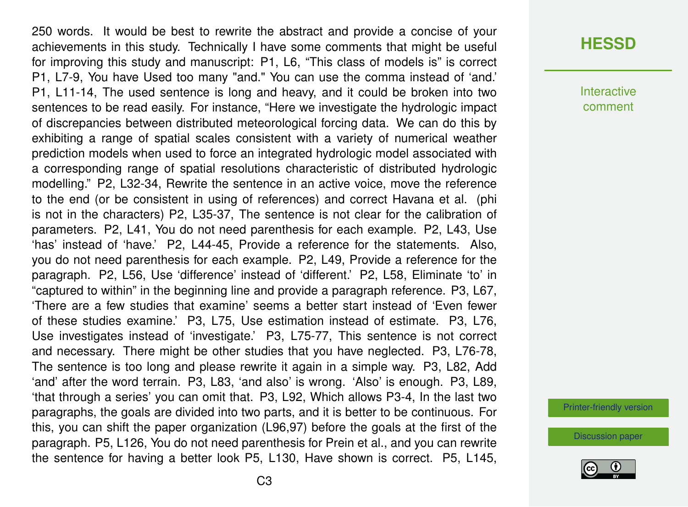250 words. It would be best to rewrite the abstract and provide a concise of your achievements in this study. Technically I have some comments that might be useful for improving this study and manuscript: P1, L6, "This class of models is" is correct P1, L7-9, You have Used too many "and." You can use the comma instead of 'and.' P1, L11-14, The used sentence is long and heavy, and it could be broken into two sentences to be read easily. For instance, "Here we investigate the hydrologic impact of discrepancies between distributed meteorological forcing data. We can do this by exhibiting a range of spatial scales consistent with a variety of numerical weather prediction models when used to force an integrated hydrologic model associated with a corresponding range of spatial resolutions characteristic of distributed hydrologic modelling." P2, L32-34, Rewrite the sentence in an active voice, move the reference to the end (or be consistent in using of references) and correct Havana et al. (phi is not in the characters) P2, L35-37, The sentence is not clear for the calibration of parameters. P2, L41, You do not need parenthesis for each example. P2, L43, Use 'has' instead of 'have.' P2, L44-45, Provide a reference for the statements. Also, you do not need parenthesis for each example. P2, L49, Provide a reference for the paragraph. P2, L56, Use 'difference' instead of 'different.' P2, L58, Eliminate 'to' in "captured to within" in the beginning line and provide a paragraph reference. P3, L67, 'There are a few studies that examine' seems a better start instead of 'Even fewer of these studies examine.' P3, L75, Use estimation instead of estimate. P3, L76, Use investigates instead of 'investigate.' P3, L75-77, This sentence is not correct and necessary. There might be other studies that you have neglected. P3, L76-78, The sentence is too long and please rewrite it again in a simple way. P3, L82, Add 'and' after the word terrain. P3, L83, 'and also' is wrong. 'Also' is enough. P3, L89, 'that through a series' you can omit that. P3, L92, Which allows P3-4, In the last two paragraphs, the goals are divided into two parts, and it is better to be continuous. For this, you can shift the paper organization (L96,97) before the goals at the first of the paragraph. P5, L126, You do not need parenthesis for Prein et al., and you can rewrite the sentence for having a better look P5, L130, Have shown is correct. P5, L145,

#### **[HESSD](https://hess.copernicus.org/preprints/)**

**Interactive** comment

[Printer-friendly version](https://hess.copernicus.org/preprints/hess-2020-451/hess-2020-451-SC1-print.pdf)

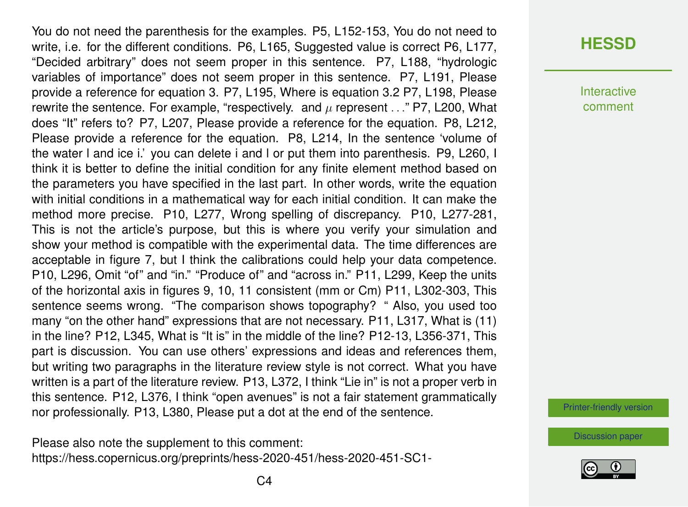You do not need the parenthesis for the examples. P5, L152-153, You do not need to write, i.e. for the different conditions. P6, L165, Suggested value is correct P6, L177, "Decided arbitrary" does not seem proper in this sentence. P7, L188, "hydrologic variables of importance" does not seem proper in this sentence. P7, L191, Please provide a reference for equation 3. P7, L195, Where is equation 3.2 P7, L198, Please rewrite the sentence. For example, "respectively. and  $\mu$  represent ..." P7, L200, What does "It" refers to? P7, L207, Please provide a reference for the equation. P8, L212, Please provide a reference for the equation. P8, L214, In the sentence 'volume of the water l and ice i.' you can delete i and l or put them into parenthesis. P9, L260, I think it is better to define the initial condition for any finite element method based on the parameters you have specified in the last part. In other words, write the equation with initial conditions in a mathematical way for each initial condition. It can make the method more precise. P10, L277, Wrong spelling of discrepancy. P10, L277-281, This is not the article's purpose, but this is where you verify your simulation and show your method is compatible with the experimental data. The time differences are acceptable in figure 7, but I think the calibrations could help your data competence. P10, L296, Omit "of" and "in." "Produce of" and "across in." P11, L299, Keep the units of the horizontal axis in figures 9, 10, 11 consistent (mm or Cm) P11, L302-303, This sentence seems wrong. "The comparison shows topography? " Also, you used too many "on the other hand" expressions that are not necessary. P11, L317, What is (11) in the line? P12, L345, What is "It is" in the middle of the line? P12-13, L356-371, This part is discussion. You can use others' expressions and ideas and references them, but writing two paragraphs in the literature review style is not correct. What you have written is a part of the literature review. P13, L372, I think "Lie in" is not a proper verb in this sentence. P12, L376, I think "open avenues" is not a fair statement grammatically nor professionally. P13, L380, Please put a dot at the end of the sentence.

Please also note the supplement to this comment: [https://hess.copernicus.org/preprints/hess-2020-451/hess-2020-451-SC1-](https://hess.copernicus.org/preprints/hess-2020-451/hess-2020-451-SC1-supplement.pdf)

## **[HESSD](https://hess.copernicus.org/preprints/)**

**Interactive** comment

[Printer-friendly version](https://hess.copernicus.org/preprints/hess-2020-451/hess-2020-451-SC1-print.pdf)